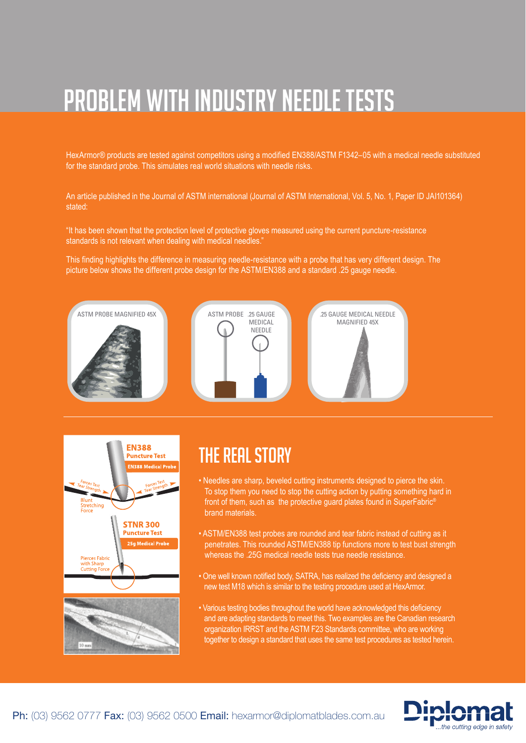# PROBLEM WITH INDUSTRY NEEDLE TESTS

HexArmor® products are tested against competitors using a modified EN388/ASTM F1342–05 with a medical needle substituted for the standard probe. This simulates real world situations with needle risks.

An article published in the Journal of ASTM international (Journal of ASTM International, Vol. 5, No. 1, Paper ID JAI101364) stated:

"It has been shown that the protection level of protective gloves measured using the current puncture-resistance standards is not relevant when dealing with medical needles."

This finding highlights the difference in measuring needle-resistance with a probe that has very different design. The picture below shows the different probe design for the ASTM/EN388 and a standard .25 gauge needle.





## **THE REAL STORY**

- Needles are sharp, beveled cutting instruments designed to pierce the skin. To stop them you need to stop the cutting action by putting something hard in front of them, such as the protective guard plates found in SuperFabric® brand materials.
- ASTM/EN388 test probes are rounded and tear fabric instead of cutting as it penetrates. This rounded ASTM/EN388 tip functions more to test bust strength whereas the .25G medical needle tests true needle resistance.
- One well known notified body, SATRA, has realized the deficiency and designed a new test M18 which is similar to the testing procedure used at HexArmor.
- Various testing bodies throughout the world have acknowledged this deficiency and are adapting standards to meet this. Two examples are the Canadian research organization IRRST and the ASTM F23 Standards committee, who are working together to design a standard that uses the same test procedures as tested herein.